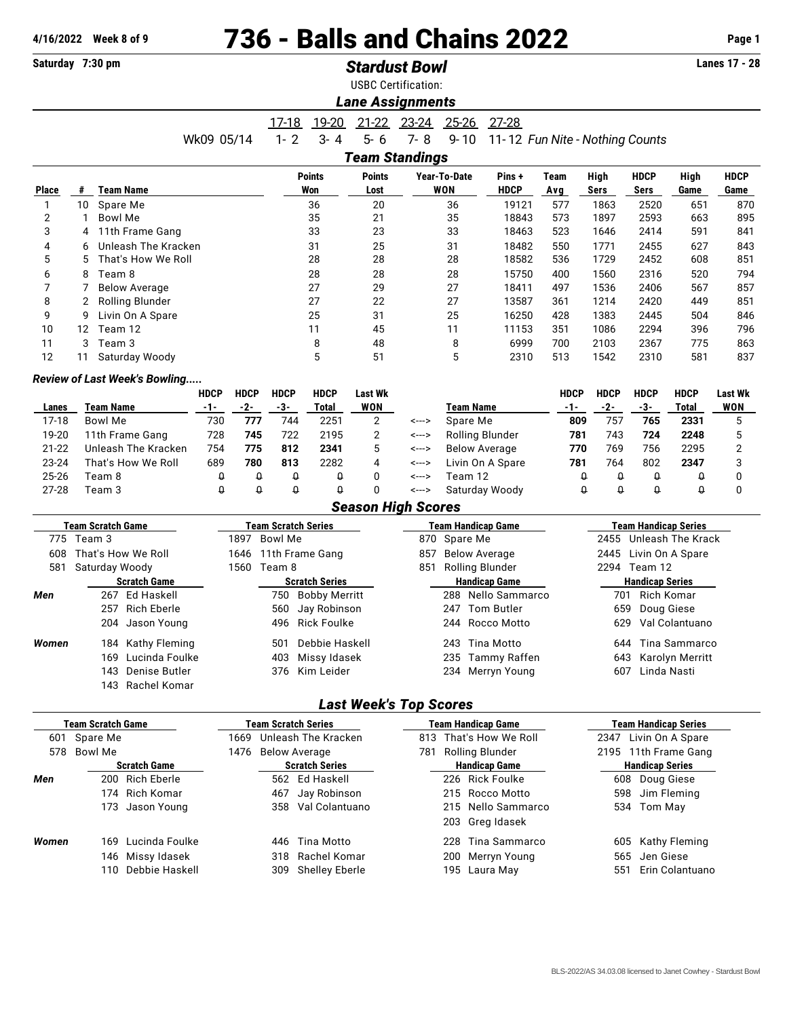143 Rachel Komar

## **4/16/2022** Week 8 of 9 **736 - Balls and Chains 2022** Page 1<br> **Contains 2022** Page 1<br> **Page 1**

| Saturday 7:30 pm         |                 |                                      |                            |              |                      | <b>Stardust Bowl</b>  | Lanes 17 - 28              |                                                          |                                            |                                 |                    |                        |                        |                  |                |  |  |
|--------------------------|-----------------|--------------------------------------|----------------------------|--------------|----------------------|-----------------------|----------------------------|----------------------------------------------------------|--------------------------------------------|---------------------------------|--------------------|------------------------|------------------------|------------------|----------------|--|--|
|                          |                 |                                      |                            |              |                      |                       | <b>USBC Certification:</b> |                                                          |                                            |                                 |                    |                        |                        |                  |                |  |  |
|                          |                 |                                      |                            |              |                      |                       | <b>Lane Assignments</b>    |                                                          |                                            |                                 |                    |                        |                        |                  |                |  |  |
|                          |                 |                                      |                            |              | <u> 17-18 </u>       | 19-20                 | 21-22 23-24                |                                                          | 25-26                                      | $27 - 28$                       |                    |                        |                        |                  |                |  |  |
|                          |                 |                                      | Wk09 05/14                 |              | $1 - 2$              | $3 - 4$               | $5 - 6$                    | $7 - 8$                                                  | $9 - 10$                                   | 11-12 Fun Nite - Nothing Counts |                    |                        |                        |                  |                |  |  |
|                          |                 |                                      |                            |              |                      |                       | <b>Team Standings</b>      |                                                          |                                            |                                 |                    |                        |                        |                  |                |  |  |
|                          |                 |                                      |                            |              |                      | <b>Points</b>         | <b>Points</b>              |                                                          | Year-To-Date                               | Pins+                           | <b>Team</b>        | High                   | <b>HDCP</b>            | High             | <b>HDCP</b>    |  |  |
| <b>Place</b>             | #               | <b>Team Name</b>                     |                            |              |                      | Won                   | Lost                       |                                                          | <b>WON</b>                                 | <b>HDCP</b>                     | Avg                | <b>Sers</b>            | <b>Sers</b>            | Game             | Game           |  |  |
| $\mathbf{1}$             | 10              | Spare Me                             |                            |              |                      | 36                    | 20                         |                                                          | 36                                         | 19121                           | 577                | 1863                   | 2520                   | 651              | 870            |  |  |
| 2                        | 1               | <b>Bowl Me</b>                       |                            |              |                      | 35                    | 21                         |                                                          | 35                                         | 18843                           | 573                | 1897                   | 2593                   | 663              | 895            |  |  |
| 3                        | 4               | 11th Frame Gang                      |                            |              |                      | 33                    | 23                         |                                                          | 33                                         | 18463                           | 523                | 1646                   | 2414                   | 591              | 841            |  |  |
| 4                        | 6               | Unleash The Kracken                  |                            |              |                      | 31                    | 25                         |                                                          | 31                                         | 18482                           | 550                | 1771                   | 2455                   | 627              | 843            |  |  |
| 5                        | 5               | That's How We Roll                   |                            |              |                      | 28                    | 28                         |                                                          | 28                                         | 18582                           | 536                | 1729                   | 2452                   | 608              | 851            |  |  |
| 6                        | 8               | Team 8                               |                            |              |                      | 28                    | 28                         |                                                          | 28                                         | 15750                           | 400                | 1560                   | 2316                   | 520              | 794            |  |  |
| 7                        | 7               | <b>Below Average</b>                 |                            |              |                      | 27                    | 29                         |                                                          | 27                                         | 18411                           | 497                | 1536                   | 2406                   | 567              | 857            |  |  |
| 8                        | 2               | <b>Rolling Blunder</b>               |                            |              |                      | 27                    | 22                         |                                                          | 27                                         | 13587                           | 361                | 1214                   | 2420                   | 449              | 851            |  |  |
| 9                        | 9               | Livin On A Spare                     |                            |              |                      | 25                    | 31                         |                                                          | 25                                         | 16250                           | 428                | 1383                   | 2445                   | 504              | 846            |  |  |
| 10                       | 12              | Team 12                              |                            |              |                      | 11                    | 45                         |                                                          | 11                                         | 11153                           | 351                | 1086                   | 2294                   | 396              | 796            |  |  |
| 11                       | 3               | Team 3                               |                            |              |                      | 8                     | 48                         |                                                          | 8                                          | 6999                            | 700                | 2103                   | 2367                   | 775              | 863            |  |  |
| 12                       | 11              | Saturday Woody                       |                            |              |                      | 5                     | 51                         |                                                          | 5                                          | 2310                            | 513                | 1542                   | 2310                   | 581              | 837            |  |  |
|                          |                 | <b>Review of Last Week's Bowling</b> |                            |              |                      |                       |                            |                                                          |                                            |                                 |                    |                        |                        |                  |                |  |  |
|                          |                 |                                      | <b>HDCP</b>                | <b>HDCP</b>  | <b>HDCP</b>          | <b>HDCP</b>           | <b>Last Wk</b>             |                                                          |                                            |                                 | <b>HDCP</b>        | <b>HDCP</b>            | <b>HDCP</b>            | <b>HDCP</b>      | <b>Last Wk</b> |  |  |
| Lanes                    |                 | <b>Team Name</b>                     | $-1-$                      | $-2-$        | $-3-$                | <b>Total</b>          | <b>WON</b>                 |                                                          | <b>Team Name</b>                           |                                 | $-1-$              | $-2-$                  | $-3-$                  | <b>Total</b>     | <b>WON</b>     |  |  |
| $17-18$                  |                 | Bowl Me                              | 730                        | 777          | 744                  | 2251                  | $\overline{2}$             | <--->                                                    | Spare Me                                   |                                 | 809                | 757                    | 765                    | 2331             | 5              |  |  |
| 19-20                    |                 | 11th Frame Gang                      | 728                        | 745          | 722                  | 2195                  | $\overline{2}$             | <--->                                                    |                                            | <b>Rolling Blunder</b>          | 781                | 743                    | 724                    | 2248             | 5              |  |  |
| $21 - 22$                |                 | Unleash The Kracken                  | 754                        | 775          | 812                  | 2341                  | 5                          | <--->                                                    |                                            | <b>Below Average</b>            | 770                | 769                    | 756                    | 2295             | 2              |  |  |
| 23-24                    |                 | That's How We Roll                   | 689                        | 780          | 813                  | 2282                  | 4                          | <--->                                                    |                                            | Livin On A Spare                | 781                | 764                    | 802                    | 2347             | 3              |  |  |
| 25-26                    |                 | Team 8                               | $\pmb{\mathsf{Q}}$         | $\theta$     | $\pmb{\mathsf{Q}}$   | $\theta$              | 0                          | <--->                                                    | Team 12                                    |                                 | $\pmb{\mathsf{Q}}$ | $\pmb{\mathsf{Q}}$     | $\theta$               | Q                | 0              |  |  |
| $27 - 28$                |                 | Team 3                               | Û                          | $\theta$     | $\pmb{\mathsf{Q}}$   | $\theta$              | 0                          | <--->                                                    |                                            | Saturday Woody                  | $\theta$           | $\theta$               | $\theta$               | $\theta$         | 0              |  |  |
|                          |                 |                                      |                            |              |                      |                       | <b>Season High Scores</b>  |                                                          |                                            |                                 |                    |                        |                        |                  |                |  |  |
| <b>Team Scratch Game</b> |                 |                                      | <b>Team Scratch Series</b> |              |                      |                       |                            | <b>Team Handicap Game</b><br><b>Team Handicap Series</b> |                                            |                                 |                    |                        |                        |                  |                |  |  |
|                          | 775 Team 3      |                                      |                            | 1897 Bowl Me |                      |                       |                            | 870 Spare Me                                             |                                            |                                 |                    |                        | 2455 Unleash The Krack |                  |                |  |  |
| 608                      |                 | That's How We Roll                   |                            |              | 1646 11th Frame Gang |                       |                            | 857                                                      | <b>Below Average</b>                       |                                 |                    | 2445                   |                        | Livin On A Spare |                |  |  |
| 581                      |                 | Saturday Woody                       |                            |              | 1560 Team 8          |                       |                            | 851                                                      | Rolling Blunder                            |                                 |                    |                        | 2294 Team 12           |                  |                |  |  |
|                          |                 | <b>Scratch Game</b>                  |                            |              |                      | <b>Scratch Series</b> |                            |                                                          |                                            | <b>Handicap Game</b>            |                    | <b>Handicap Series</b> |                        |                  |                |  |  |
| Men                      |                 | 267 Ed Haskell                       |                            |              | 750                  | <b>Bobby Merritt</b>  |                            |                                                          | Nello Sammarco<br>Rich Komar<br>701<br>288 |                                 |                    |                        |                        |                  |                |  |  |
|                          | 257 Rich Eberle |                                      |                            |              | 560                  | Jay Robinson          |                            |                                                          |                                            | 247 Tom Butler                  |                    | 659<br>Doug Giese      |                        |                  |                |  |  |

| Women | 184 Kathy Fleming  | 501 Debbie Haskell | 243 Tina Motto   | 644 Tina Sammarco   |
|-------|--------------------|--------------------|------------------|---------------------|
|       | 169 Lucinda Foulke | 403 Missy Idasek   | 235 Tammy Raffen | 643 Karolyn Merritt |
|       | 143 Denise Butler  | 376 Kim Leider     | 234 Merryn Young | 607 Linda Nasti     |
|       | 143 Rachel Komar   |                    |                  |                     |

## *Last Week's Top Scores*

204 Jason Young 496 Rick Foulke 244 Rocco Motto 629 Val Colantuano

|       | Team Scratch Game   |                    |                    |     | Team Scratch Series   |                 | <b>Team Handicap Game</b> |                      | <b>Team Handicap Series</b> |
|-------|---------------------|--------------------|--------------------|-----|-----------------------|-----------------|---------------------------|----------------------|-----------------------------|
| 601   | Spare Me            |                    | 1669               |     | Unleash The Kracken   | 813             | That's How We Roll        | 2347                 | Livin On A Spare            |
| 578   | Bowl Me             |                    | 1476 Below Average |     | 781                   | Rolling Blunder |                           | 2195 11th Frame Gang |                             |
|       | <b>Scratch Game</b> |                    |                    |     | <b>Scratch Series</b> |                 | <b>Handicap Game</b>      |                      | <b>Handicap Series</b>      |
| Men   |                     | 200 Rich Eberle    |                    |     | 562 Ed Haskell        |                 | 226 Rick Foulke           | 608                  | Doug Giese                  |
|       |                     | 174 Rich Komar     |                    | 467 | Jay Robinson          |                 | 215 Rocco Motto           | 598                  | Jim Fleming                 |
|       |                     | 173 Jason Young    |                    |     | 358 Val Colantuano    |                 | 215 Nello Sammarco        |                      | 534 Tom May                 |
|       |                     |                    |                    |     |                       |                 | 203 Greg Idasek           |                      |                             |
| Women |                     | 169 Lucinda Foulke |                    |     | 446 Tina Motto        |                 | 228 Tina Sammarco         | 605                  | Kathy Fleming               |
|       |                     | 146 Missy Idasek   |                    |     | 318 Rachel Komar      |                 | 200 Merryn Young          | 565                  | Jen Giese                   |
|       |                     | 110 Debbie Haskell |                    |     | 309 Shelley Eberle    |                 | 195 Laura May             | 551                  | Erin Colantuano             |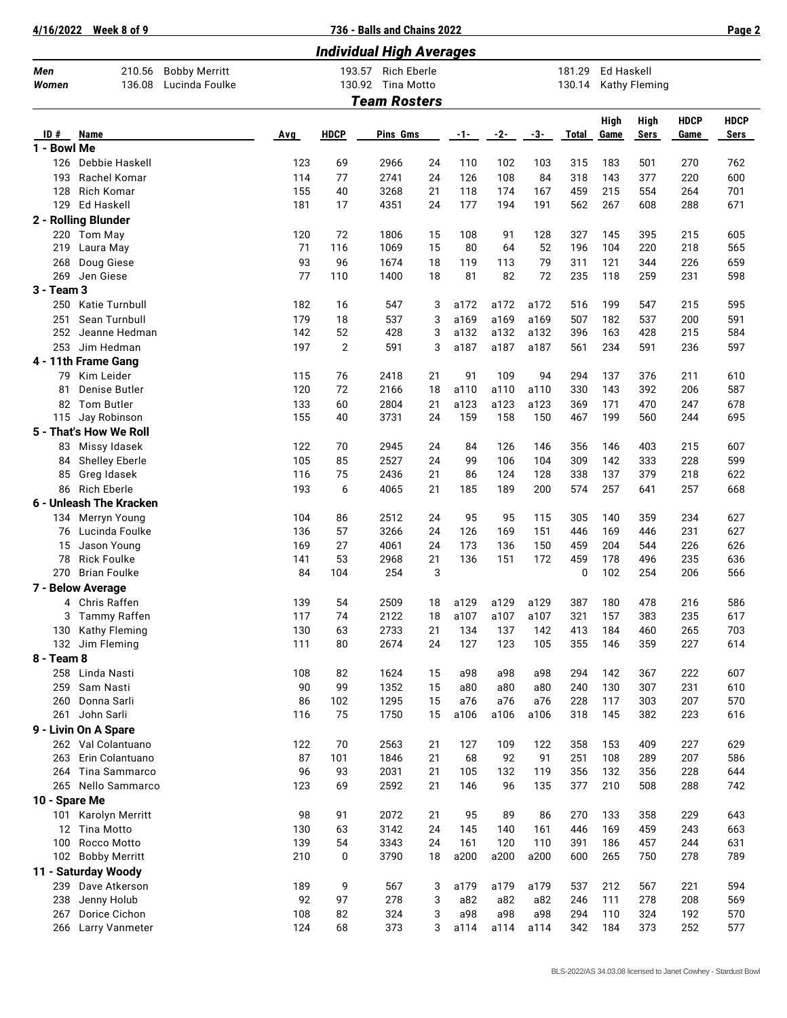**4/16/2022 Week 8 of 9 736 - Balls and Chains 2022 Page 2**

| <b>Individual High Averages</b> |                                        |                                        |            |                  |                                         |          |            |            |             |                  |                   |                      |             |             |
|---------------------------------|----------------------------------------|----------------------------------------|------------|------------------|-----------------------------------------|----------|------------|------------|-------------|------------------|-------------------|----------------------|-------------|-------------|
| Men<br>Women                    | 210.56<br>136.08                       | <b>Bobby Merritt</b><br>Lucinda Foulke |            | 193.57<br>130.92 | <b>Rich Eberle</b><br><b>Tina Motto</b> |          |            |            |             | 181.29<br>130.14 | <b>Ed Haskell</b> | <b>Kathy Fleming</b> |             |             |
|                                 |                                        |                                        |            |                  | <b>Team Rosters</b>                     |          |            |            |             |                  |                   |                      |             |             |
|                                 |                                        |                                        |            |                  |                                         |          |            |            |             |                  | High              | <b>High</b>          | <b>HDCP</b> | <b>HDCP</b> |
| ID#                             | <b>Name</b>                            |                                        | <b>Avg</b> | <b>HDCP</b>      | Pins Gms                                |          | -1-        | $-2-$      | -3-         | <b>Total</b>     | Game              | <b>Sers</b>          | Game        | Sers        |
| 1 - Bowl Me                     |                                        |                                        |            |                  |                                         |          |            |            |             |                  |                   |                      |             |             |
| 126                             | Debbie Haskell                         |                                        | 123        | 69               | 2966                                    | 24       | 110        | 102        | 103         | 315              | 183               | 501                  | 270         | 762         |
| 193                             | Rachel Komar                           |                                        | 114        | 77               | 2741                                    | 24       | 126        | 108        | 84          | 318              | 143               | 377                  | 220         | 600         |
| 128<br>129                      | Rich Komar<br>Ed Haskell               |                                        | 155<br>181 | 40<br>17         | 3268<br>4351                            | 21<br>24 | 118<br>177 | 174<br>194 | 167<br>191  | 459<br>562       | 215<br>267        | 554<br>608           | 264<br>288  | 701<br>671  |
|                                 | 2 - Rolling Blunder                    |                                        |            |                  |                                         |          |            |            |             |                  |                   |                      |             |             |
| 220                             | Tom May                                |                                        | 120        | 72               | 1806                                    | 15       | 108        | 91         | 128         | 327              | 145               | 395                  | 215         | 605         |
| 219                             | Laura May                              |                                        | 71         | 116              | 1069                                    | 15       | 80         | 64         | 52          | 196              | 104               | 220                  | 218         | 565         |
| 268                             | Doug Giese                             |                                        | 93         | 96               | 1674                                    | 18       | 119        | 113        | 79          | 311              | 121               | 344                  | 226         | 659         |
| 269                             | Jen Giese                              |                                        | 77         | 110              | 1400                                    | 18       | 81         | 82         | 72          | 235              | 118               | 259                  | 231         | 598         |
| 3 - Team 3                      |                                        |                                        |            |                  |                                         |          |            |            |             |                  |                   |                      |             |             |
| 250                             | Katie Turnbull                         |                                        | 182        | 16               | 547                                     | 3        | a172       | a172       | a172        | 516              | 199               | 547                  | 215         | 595         |
| 251                             | Sean Turnbull                          |                                        | 179        | 18               | 537                                     | 3        | a169       | a169       | a169        | 507              | 182               | 537                  | 200         | 591         |
| 252                             | Jeanne Hedman                          |                                        | 142        | 52               | 428                                     | 3        | a132       | a132       | a132        | 396              | 163               | 428                  | 215         | 584         |
| 253                             | Jim Hedman                             |                                        | 197        | 2                | 591                                     | 3        | a187       | a187       | a187        | 561              | 234               | 591                  | 236         | 597         |
|                                 | 4 - 11th Frame Gang                    |                                        |            |                  |                                         |          |            |            |             |                  |                   |                      |             |             |
| 79                              | Kim Leider                             |                                        | 115        | 76               | 2418                                    | 21       | 91         | 109        | 94          | 294              | 137               | 376                  | 211         | 610         |
| 81                              | Denise Butler                          |                                        | 120        | 72               | 2166                                    | 18       | a110       | a110       | a110        | 330              | 143               | 392                  | 206         | 587         |
| 82                              | <b>Tom Butler</b>                      |                                        | 133        | 60               | 2804<br>3731                            | 21       | a123       | a123       | a123<br>150 | 369              | 171               | 470                  | 247         | 678         |
| 115                             | Jay Robinson<br>5 - That's How We Roll |                                        | 155        | 40               |                                         | 24       | 159        | 158        |             | 467              | 199               | 560                  | 244         | 695         |
| 83                              | Missy Idasek                           |                                        | 122        | 70               | 2945                                    | 24       | 84         | 126        | 146         | 356              | 146               | 403                  | 215         | 607         |
| 84                              | <b>Shelley Eberle</b>                  |                                        | 105        | 85               | 2527                                    | 24       | 99         | 106        | 104         | 309              | 142               | 333                  | 228         | 599         |
| 85                              | Greg Idasek                            |                                        | 116        | 75               | 2436                                    | 21       | 86         | 124        | 128         | 338              | 137               | 379                  | 218         | 622         |
| 86                              | <b>Rich Eberle</b>                     |                                        | 193        | 6                | 4065                                    | 21       | 185        | 189        | 200         | 574              | 257               | 641                  | 257         | 668         |
|                                 | 6 - Unleash The Kracken                |                                        |            |                  |                                         |          |            |            |             |                  |                   |                      |             |             |
| 134                             | Merryn Young                           |                                        | 104        | 86               | 2512                                    | 24       | 95         | 95         | 115         | 305              | 140               | 359                  | 234         | 627         |
| 76                              | Lucinda Foulke                         |                                        | 136        | 57               | 3266                                    | 24       | 126        | 169        | 151         | 446              | 169               | 446                  | 231         | 627         |
| 15                              | Jason Young                            |                                        | 169        | 27               | 4061                                    | 24       | 173        | 136        | 150         | 459              | 204               | 544                  | 226         | 626         |
| 78                              | <b>Rick Foulke</b>                     |                                        | 141        | 53               | 2968                                    | 21       | 136        | 151        | 172         | 459              | 178               | 496                  | 235         | 636         |
| 270                             | <b>Brian Foulke</b>                    |                                        | 84         | 104              | 254                                     | 3        |            |            |             | 0                | 102               | 254                  | 206         | 566         |
|                                 | 7 - Below Average                      |                                        |            |                  |                                         |          |            |            |             |                  |                   |                      |             |             |
|                                 | 4 Chris Raffen                         |                                        | 139        | 54               | 2509                                    | 18       | a129       | a129       | a129        | 387              | 180               | 478                  | 216         | 586         |
| 3                               | Tammy Raffen                           |                                        | 117        | 74               | 2122                                    | 18       | a107       | a107       | a107        | 321              | 157               | 383                  | 235         | 617         |
|                                 | 130 Kathy Fleming                      |                                        | 130        | 63               | 2733                                    | 21       | 134        | 137        | 142         | 413              | 184               | 460                  | 265         | 703         |
|                                 | 132 Jim Fleming                        |                                        | 111        | 80               | 2674                                    | 24       | 127        | 123        | 105         | 355              | 146               | 359                  | 227         | 614         |
| 8 - Team 8                      |                                        |                                        |            |                  |                                         |          |            |            |             |                  |                   |                      |             |             |
| 259                             | 258 Linda Nasti<br>Sam Nasti           |                                        | 108<br>90  | 82<br>99         | 1624<br>1352                            | 15<br>15 | a98<br>a80 | a98<br>a80 | а98<br>a80  | 294<br>240       | 142<br>130        | 367<br>307           | 222<br>231  | 607<br>610  |
| 260                             | Donna Sarli                            |                                        | 86         | 102              | 1295                                    | 15       | a76        | a76        | a76         | 228              | 117               | 303                  | 207         | 570         |
| 261                             | John Sarli                             |                                        | 116        | 75               | 1750                                    | 15       | a106       | a106       | a106        | 318              | 145               | 382                  | 223         | 616         |
|                                 | 9 - Livin On A Spare                   |                                        |            |                  |                                         |          |            |            |             |                  |                   |                      |             |             |
|                                 | 262 Val Colantuano                     |                                        | 122        | 70               | 2563                                    | 21       | 127        | 109        | 122         | 358              | 153               | 409                  | 227         | 629         |
| 263                             | Erin Colantuano                        |                                        | 87         | 101              | 1846                                    | 21       | 68         | 92         | 91          | 251              | 108               | 289                  | 207         | 586         |
| 264                             | Tina Sammarco                          |                                        | 96         | 93               | 2031                                    | 21       | 105        | 132        | 119         | 356              | 132               | 356                  | 228         | 644         |
| 265                             | Nello Sammarco                         |                                        | 123        | 69               | 2592                                    | 21       | 146        | 96         | 135         | 377              | 210               | 508                  | 288         | 742         |
| 10 - Spare Me                   |                                        |                                        |            |                  |                                         |          |            |            |             |                  |                   |                      |             |             |
| 101                             | Karolyn Merritt                        |                                        | 98         | 91               | 2072                                    | 21       | 95         | 89         | 86          | 270              | 133               | 358                  | 229         | 643         |
| 12 <sup>2</sup>                 | Tina Motto                             |                                        | 130        | 63               | 3142                                    | 24       | 145        | 140        | 161         | 446              | 169               | 459                  | 243         | 663         |
| 100                             | Rocco Motto                            |                                        | 139        | 54               | 3343                                    | 24       | 161        | 120        | 110         | 391              | 186               | 457                  | 244         | 631         |
| 102                             | <b>Bobby Merritt</b>                   |                                        | 210        | 0                | 3790                                    | 18       | a200       | a200       | a200        | 600              | 265               | 750                  | 278         | 789         |
|                                 | 11 - Saturday Woody                    |                                        |            |                  |                                         |          |            |            |             |                  |                   |                      |             |             |
| 239                             | Dave Atkerson                          |                                        | 189        | 9                | 567                                     | 3        | a179       | a179       | a179        | 537              | 212               | 567                  | 221         | 594         |
| 238                             | Jenny Holub                            |                                        | 92<br>108  | 97               | 278                                     | 3        | a82<br>a98 | a82<br>a98 | a82<br>a98  | 246<br>294       | 111               | 278<br>324           | 208<br>192  | 569         |
| 267<br>266                      | Dorice Cichon<br>Larry Vanmeter        |                                        | 124        | 82<br>68         | 324<br>373                              | 3<br>3   | a114       | a114       | a114        | 342              | 110<br>184        | 373                  | 252         | 570<br>577  |
|                                 |                                        |                                        |            |                  |                                         |          |            |            |             |                  |                   |                      |             |             |